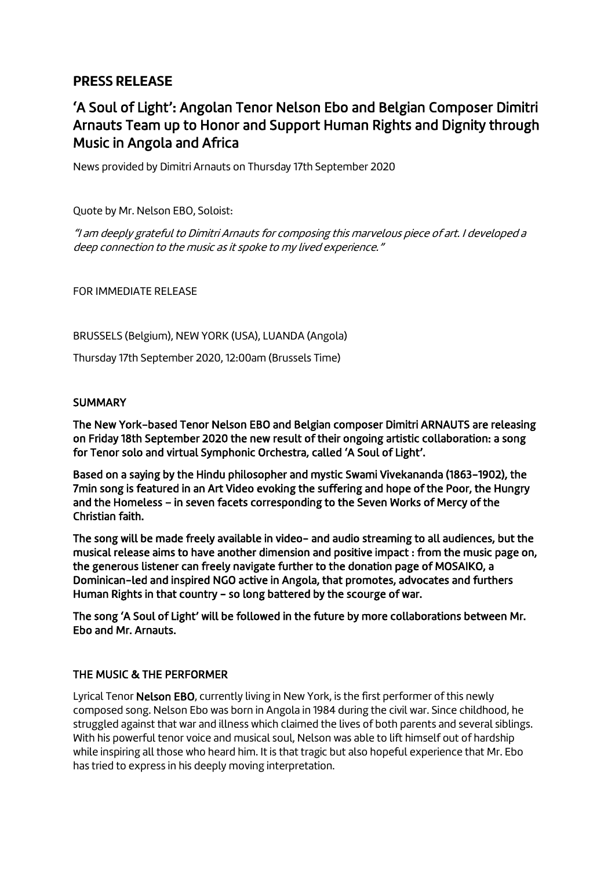## **PRESS RELEASE**

# 'A Soul of Light': Angolan Tenor Nelson Ebo and Belgian Composer Dimitri Arnauts Team up to Honor and Support Human Rights and Dignity through Music in Angola and Africa

News provided by Dimitri Arnauts on Thursday 17th September 2020

Quote by Mr. Nelson EBO, Soloist:

"I am deeply grateful to Dimitri Arnauts for composing this marvelous piece of art. I developed a deep connection to the music as it spoke to my lived experience."

FOR IMMEDIATE RELEASE

BRUSSELS (Belgium), NEW YORK (USA), LUANDA (Angola)

Thursday 17th September 2020, 12:00am (Brussels Time)

### **SUMMARY**

The New York-based Tenor Nelson EBO and Belgian composer Dimitri ARNAUTS are releasing on Friday 18th September 2020 the new result of their ongoing artistic collaboration: a song for Tenor solo and virtual Symphonic Orchestra, called 'A Soul of Light'.

Based on a saying by the Hindu philosopher and mystic Swami Vivekananda (1863-1902), the 7min song is featured in an Art Video evoking the suffering and hope of the Poor, the Hungry and the Homeless – in seven facets corresponding to the Seven Works of Mercy of the Christian faith.

The song will be made freely available in video- and audio streaming to all audiences, but the musical release aims to have another dimension and positive impact : from the music page on, the generous listener can freely navigate further to the donation page of MOSAIKO, a Dominican-led and inspired NGO active in Angola, that promotes, advocates and furthers Human Rights in that country - so long battered by the scourge of war.

The song 'A Soul of Light' will be followed in the future by more collaborations between Mr. Ebo and Mr. Arnauts.

## THE MUSIC & THE PERFORMER

Lyrical Tenor Nelson EBO, currently living in New York, is the first performer of this newly composed song. Nelson Ebo was born in Angola in 1984 during the civil war. Since childhood, he struggled against that war and illness which claimed the lives of both parents and several siblings. With his powerful tenor voice and musical soul, Nelson was able to lift himself out of hardship while inspiring all those who heard him. It is that tragic but also hopeful experience that Mr. Ebo has tried to express in his deeply moving interpretation.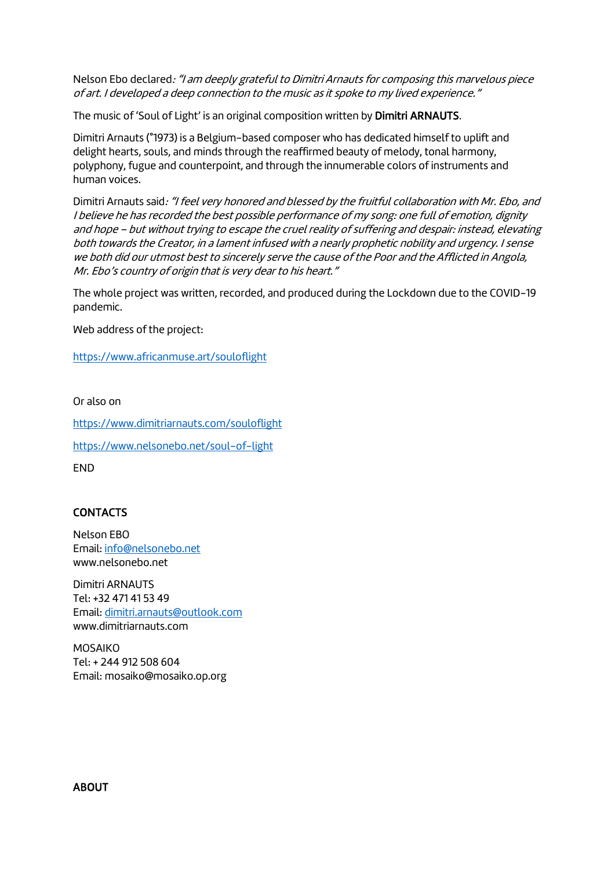Nelson Ebo declared: "I am deeply grateful to Dimitri Arnauts for composing this marvelous piece of art. I developed a deep connection to the music as it spoke to my lived experience."

The music of 'Soul of Light' is an original composition written by Dimitri ARNAUTS.

Dimitri Arnauts (°1973) is a Belgium-based composer who has dedicated himself to uplift and delight hearts, souls, and minds through the reaffirmed beauty of melody, tonal harmony, polyphony, fugue and counterpoint, and through the innumerable colors of instruments and human voices.

Dimitri Arnauts said: "I feel very honored and blessed by the fruitful collaboration with Mr. Ebo, and I believe he has recorded the best possible performance of my song: one full of emotion, dignity and hope – but without trying to escape the cruel reality of suffering and despair: instead, elevating both towards the Creator, in a lament infused with a nearly prophetic nobility and urgency. I sense we both did our utmost best to sincerely serve the cause of the Poor and the Afflicted in Angola, Mr. Ebo's country of origin that is very dear to his heart."

The whole project was written, recorded, and produced during the Lockdown due to the COVID-19 pandemic.

Web address of the project:

<https://www.africanmuse.art/souloflight>

Or also on

<https://www.dimitriarnauts.com/souloflight>

<https://www.nelsonebo.net/soul-of-light>

END

## **CONTACTS**

Nelson EBO Email[: info@nelsonebo.net](mailto:info@nelsonebo.net) www.nelsonebo.net

Dimitri ARNAUTS Tel: +32 471 41 53 49 Email[: dimitri.arnauts@outlook.com](mailto:dimitri.arnauts@outlook.com) www.dimitriarnauts.com

MOSAIKO Tel: + 244 912 508 604 Email: mosaiko@mosaiko.op.org

ABOUT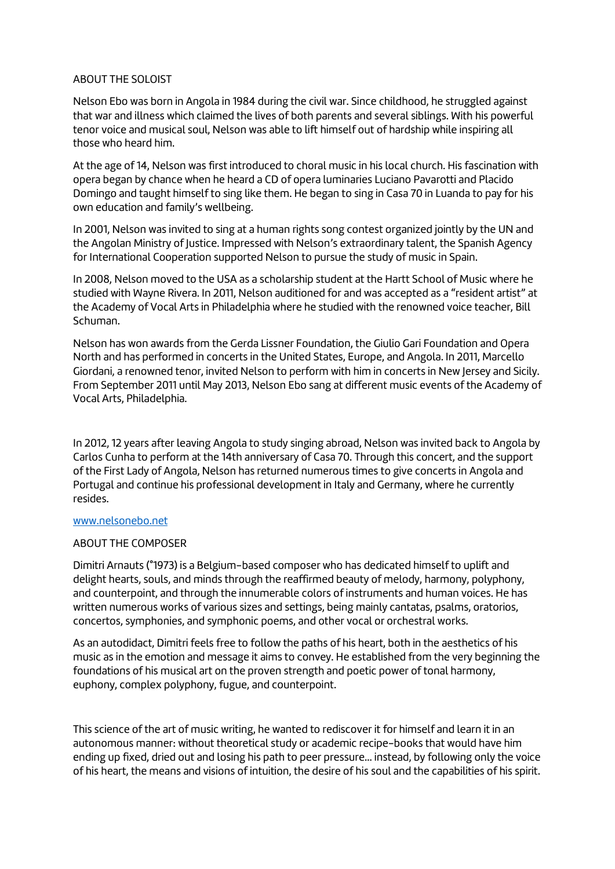#### ABOUT THE SOLOIST

Nelson Ebo was born in Angola in 1984 during the civil war. Since childhood, he struggled against that war and illness which claimed the lives of both parents and several siblings. With his powerful tenor voice and musical soul, Nelson was able to lift himself out of hardship while inspiring all those who heard him.

At the age of 14, Nelson was first introduced to choral music in his local church. His fascination with opera began by chance when he heard a CD of opera luminaries Luciano Pavarotti and Placido Domingo and taught himself to sing like them. He began to sing in Casa 70 in Luanda to pay for his own education and family's wellbeing.

In 2001, Nelson was invited to sing at a human rights song contest organized jointly by the UN and the Angolan Ministry of Justice. Impressed with Nelson's extraordinary talent, the Spanish Agency for International Cooperation supported Nelson to pursue the study of music in Spain.

In 2008, Nelson moved to the USA as a scholarship student at the Hartt School of Music where he studied with Wayne Rivera. In 2011, Nelson auditioned for and was accepted as a "resident artist" at the Academy of Vocal Arts in Philadelphia where he studied with the renowned voice teacher, Bill Schuman.

Nelson has won awards from the Gerda Lissner Foundation, the Giulio Gari Foundation and Opera North and has performed in concerts in the United States, Europe, and Angola. In 2011, Marcello Giordani, a renowned tenor, invited Nelson to perform with him in concerts in New Jersey and Sicily. From September 2011 until May 2013, Nelson Ebo sang at different music events of the Academy of Vocal Arts, Philadelphia.

In 2012, 12 years after leaving Angola to study singing abroad, Nelson was invited back to Angola by Carlos Cunha to perform at the 14th anniversary of Casa 70. Through this concert, and the support of the First Lady of Angola, Nelson has returned numerous times to give concerts in Angola and Portugal and continue his professional development in Italy and Germany, where he currently resides.

#### [www.nelsonebo.net](http://www.nelsonebo.net/)

#### ABOUT THE COMPOSER

Dimitri Arnauts (°1973) is a Belgium-based composer who has dedicated himself to uplift and delight hearts, souls, and minds through the reaffirmed beauty of melody, harmony, polyphony, and counterpoint, and through the innumerable colors of instruments and human voices. He has written numerous works of various sizes and settings, being mainly cantatas, psalms, oratorios, concertos, symphonies, and symphonic poems, and other vocal or orchestral works.

As an autodidact, Dimitri feels free to follow the paths of his heart, both in the aesthetics of his music as in the emotion and message it aims to convey. He established from the very beginning the foundations of his musical art on the proven strength and poetic power of tonal harmony, euphony, complex polyphony, fugue, and counterpoint.

This science of the art of music writing, he wanted to rediscover it for himself and learn it in an autonomous manner: without theoretical study or academic recipe-books that would have him ending up fixed, dried out and losing his path to peer pressure... instead, by following only the voice of his heart, the means and visions of intuition, the desire of his soul and the capabilities of his spirit.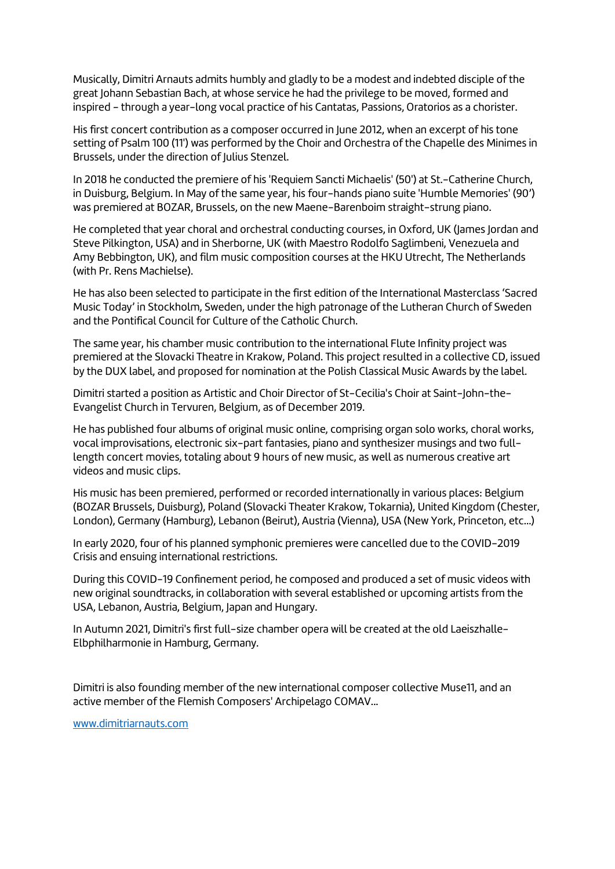Musically, Dimitri Arnauts admits humbly and gladly to be a modest and indebted disciple of the great Johann Sebastian Bach, at whose service he had the privilege to be moved, formed and inspired - through a year-long vocal practice of his Cantatas, Passions, Oratorios as a chorister.

His first concert contribution as a composer occurred in June 2012, when an excerpt of his tone setting of Psalm 100 (11') was performed by the Choir and Orchestra of the Chapelle des Minimes in Brussels, under the direction of Julius Stenzel.

In 2018 he conducted the premiere of his 'Requiem Sancti Michaelis' (50') at St.-Catherine Church, in Duisburg, Belgium. In May of the same year, his four-hands piano suite 'Humble Memories' (90') was premiered at BOZAR, Brussels, on the new Maene-Barenboim straight-strung piano.

He completed that year choral and orchestral conducting courses, in Oxford, UK (James Jordan and Steve Pilkington, USA) and in Sherborne, UK (with Maestro Rodolfo Saglimbeni, Venezuela and Amy Bebbington, UK), and film music composition courses at the HKU Utrecht, The Netherlands (with Pr. Rens Machielse).

He has also been selected to participate in the first edition of the International Masterclass 'Sacred Music Today' in Stockholm, Sweden, under the high patronage of the Lutheran Church of Sweden and the Pontifical Council for Culture of the Catholic Church.

The same year, his chamber music contribution to the international Flute Infinity project was premiered at the Slovacki Theatre in Krakow, Poland. This project resulted in a collective CD, issued by the DUX label, and proposed for nomination at the Polish Classical Music Awards by the label.

Dimitri started a position as Artistic and Choir Director of St-Cecilia's Choir at Saint-John-the-Evangelist Church in Tervuren, Belgium, as of December 2019.

He has published four albums of original music online, comprising organ solo works, choral works, vocal improvisations, electronic six-part fantasies, piano and synthesizer musings and two fulllength concert movies, totaling about 9 hours of new music, as well as numerous creative art videos and music clips.

His music has been premiered, performed or recorded internationally in various places: Belgium (BOZAR Brussels, Duisburg), Poland (Slovacki Theater Krakow, Tokarnia), United Kingdom (Chester, London), Germany (Hamburg), Lebanon (Beirut), Austria (Vienna), USA (New York, Princeton, etc...)

In early 2020, four of his planned symphonic premieres were cancelled due to the COVID-2019 Crisis and ensuing international restrictions.

During this COVID-19 Confinement period, he composed and produced a set of music videos with new original soundtracks, in collaboration with several established or upcoming artists from the USA, Lebanon, Austria, Belgium, Japan and Hungary.

In Autumn 2021, Dimitri's first full-size chamber opera will be created at the old Laeiszhalle-Elbphilharmonie in Hamburg, Germany.

Dimitri is also founding member of the new international composer collective Muse11, and an active member of the Flemish Composers' Archipelago COMAV...

[www.dimitriarnauts.com](http://www.dimitriarnauts.com/)